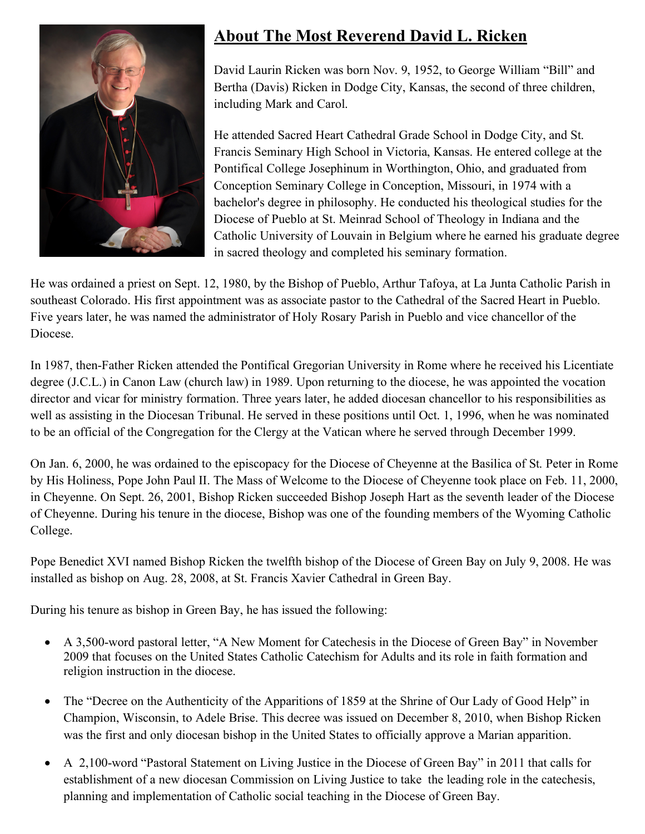

## **About The Most Reverend David L. Ricken**

David Laurin Ricken was born Nov. 9, 1952, to George William "Bill" and Bertha (Davis) Ricken in Dodge City, Kansas, the second of three children, including Mark and Carol.

He attended Sacred Heart Cathedral Grade School in Dodge City, and St. Francis Seminary High School in Victoria, Kansas. He entered college at the Pontifical College Josephinum in Worthington, Ohio, and graduated from Conception Seminary College in Conception, Missouri, in 1974 with a bachelor's degree in philosophy. He conducted his theological studies for the Diocese of Pueblo at St. Meinrad School of Theology in Indiana and the Catholic University of Louvain in Belgium where he earned his graduate degree in sacred theology and completed his seminary formation.

He was ordained a priest on Sept. 12, 1980, by the Bishop of Pueblo, Arthur Tafoya, at La Junta Catholic Parish in southeast Colorado. His first appointment was as associate pastor to the Cathedral of the Sacred Heart in Pueblo. Five years later, he was named the administrator of Holy Rosary Parish in Pueblo and vice chancellor of the Diocese.

In 1987, then-Father Ricken attended the Pontifical Gregorian University in Rome where he received his Licentiate degree (J.C.L.) in Canon Law (church law) in 1989. Upon returning to the diocese, he was appointed the vocation director and vicar for ministry formation. Three years later, he added diocesan chancellor to his responsibilities as well as assisting in the Diocesan Tribunal. He served in these positions until Oct. 1, 1996, when he was nominated to be an official of the Congregation for the Clergy at the Vatican where he served through December 1999.

On Jan. 6, 2000, he was ordained to the episcopacy for the Diocese of Cheyenne at the Basilica of St. Peter in Rome by His Holiness, Pope John Paul II. The Mass of Welcome to the Diocese of Cheyenne took place on Feb. 11, 2000, in Cheyenne. On Sept. 26, 2001, Bishop Ricken succeeded Bishop Joseph Hart as the seventh leader of the Diocese of Cheyenne. During his tenure in the diocese, Bishop was one of the founding members of the Wyoming Catholic College.

Pope Benedict XVI named Bishop Ricken the twelfth bishop of the Diocese of Green Bay on July 9, 2008. He was installed as bishop on Aug. 28, 2008, at St. Francis Xavier Cathedral in Green Bay.

During his tenure as bishop in Green Bay, he has issued the following:

- A 3,500-word pastoral letter, "A New Moment for Catechesis in the Diocese of Green Bay" in November 2009 that focuses on the United States Catholic Catechism for Adults and its role in faith formation and religion instruction in the diocese.
- The "Decree on the Authenticity of the Apparitions of 1859 at the Shrine of Our Lady of Good Help" in Champion, Wisconsin, to Adele Brise. This decree was issued on December 8, 2010, when Bishop Ricken was the first and only diocesan bishop in the United States to officially approve a Marian apparition.
- A 2,100-word "Pastoral Statement on Living Justice in the Diocese of Green Bay" in 2011 that calls for establishment of a new diocesan Commission on Living Justice to take the leading role in the catechesis, planning and implementation of Catholic social teaching in the Diocese of Green Bay.